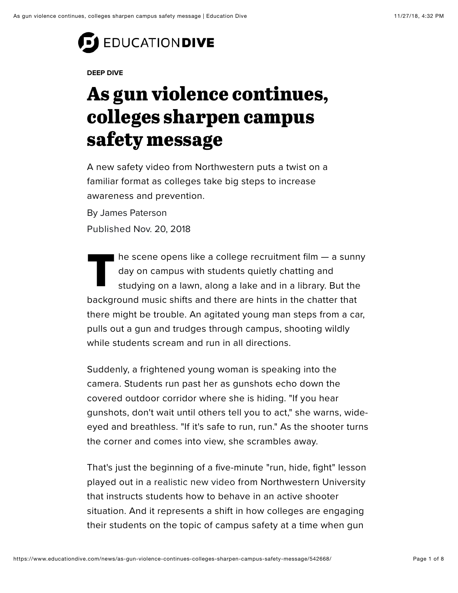# **EDUCATION DIVE**

#### **DEEP DIVE**

## As gun violence continues, colleges sharpen campus safety message

A new safety video from Northwestern puts a twist on a familiar format as colleges take big steps to increase awareness and prevention.

By James Paterson Published Nov. 20, 2018

The scene opens like a college recruitment film — a sunny<br>day on campus with students quietly chatting and<br>studying on a lawn, along a lake and in a library. But the day on campus with students quietly chatting and studying on a lawn, along a lake and in a library. But the background music shifts and there are hints in the chatter that there might be trouble. An agitated young man steps from a car, pulls out a gun and trudges through campus, shooting wildly while students scream and run in all directions.

Suddenly, a frightened young woman is speaking into the camera. Students run past her as gunshots echo down the covered outdoor corridor where she is hiding. "If you hear gunshots, don't wait until others tell you to act," she warns, wideeyed and breathless. "If it's safe to run, run." As the shooter turns the corner and comes into view, she scrambles away.

That's just the beginning of a five-minute "run, hide, fight" lesson played out in a [realistic new video](https://www.northwestern.edu/emergency-management/how-you-can-prepare/active-violence.html) from Northwestern University that instructs students how to behave in an active shooter situation. And it represents a shift in how colleges are engaging their students on the topic of campus safety at a time when gun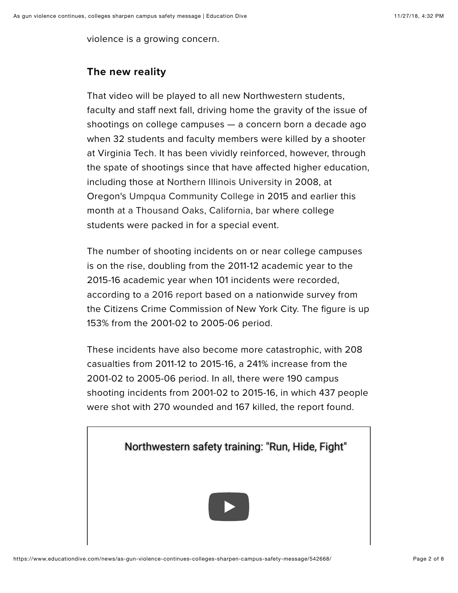violence is a growing concern.

#### **The new reality**

That video will be played to all new Northwestern students, faculty and staff next fall, driving home the gravity of the issue of shootings on college campuses — a concern born a decade ago when 32 students and faculty members were killed by a shooter at Virginia Tech. It has been vividly reinforced, however, through the spate of shootings since that have afected higher education, including those at [Northern Illinois University](https://www.chicagotribune.com/suburbs/ct-met-niu-shootings-10th-anniversary-20180212-story.html) in 2008, at Oregon's [Umpqua Community College](https://www.oregonlive.com/pacific-northwest-news/index.ssf/2017/09/umpqua_community_college_shoot_3.html) in 2015 and earlier this month [at a Thousand Oaks, California, bar](https://www.nytimes.com/2018/11/08/us/shooting-california-thousand-oaks.html) where college students were packed in for a special event.

The number of shooting incidents on or near college campuses is on the rise, doubling from the 2011-12 academic year to the 2015-16 academic year when 101 incidents were recorded, according to [a 2016 report](http://www.nycrimecommission.org/pdfs/CCC-Aiming-At-Students-College-Shootings-Oct2016.pdf) based on a nationwide survey from the Citizens Crime Commission of New York City. The figure is up 153% from the 2001-02 to 2005-06 period.

These incidents have also become more catastrophic, with 208 casualties from 2011-12 to 2015-16, a 241% increase from the 2001-02 to 2005-06 period. In all, there were 190 campus shooting incidents from 2001-02 to 2015-16, in which 437 people were shot with 270 wounded and 167 killed, the report found.

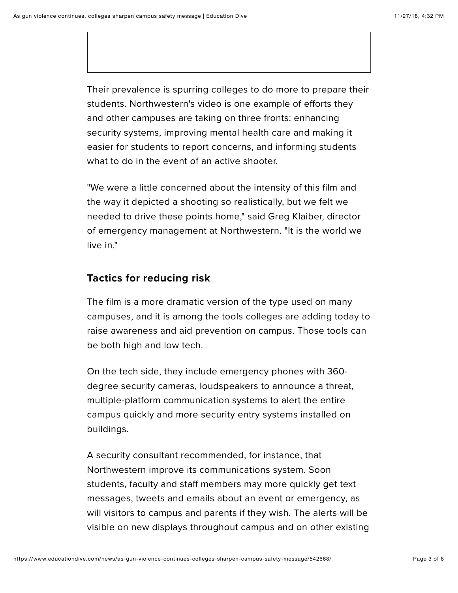Their prevalence is spurring colleges to do more to prepare their students. Northwestern's video is one example of efforts they and other campuses are taking on three fronts: enhancing security systems, improving mental health care and making it easier for students to report concerns, and informing students what to do in the event of an active shooter.

"We were a little concerned about the intensity of this film and the way it depicted a shooting so realistically, but we felt we needed to drive these points home," said Greg Klaiber, director of emergency management at Northwestern. "It is the world we live in."

#### **Tactics for reducing risk**

The film is a more dramatic version of the type used on many campuses, and it is among [the tools colleges are adding today](https://www.campussafetymagazine.com/university/schools-colleges-improve-campus-security/) to raise awareness and aid prevention on campus. Those tools can be both high and low tech.

On the tech side, they include emergency phones with 360 degree security cameras, loudspeakers to announce a threat, multiple-platform communication systems to alert the entire campus quickly and more security entry systems installed on buildings.

A security consultant recommended, for instance, that Northwestern improve its communications system. Soon students, faculty and staff members may more quickly get text messages, tweets and emails about an event or emergency, as will visitors to campus and parents if they wish. The alerts will be visible on new displays throughout campus and on other existing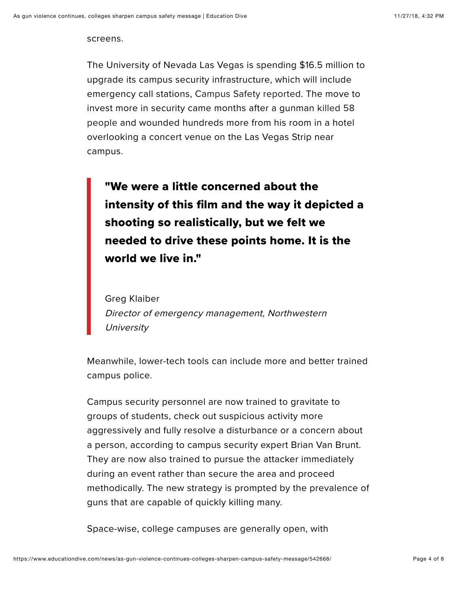screens.

The University of Nevada Las Vegas is spending \$16.5 million to upgrade its campus security infrastructure, which will include emergency call stations, [Campus Safety reported.](https://www.campussafetymagazine.com/university/unlv-campus-security-upgrades/) The move to [invest more in security came months after a gunman killed 58](https://www.washingtonpost.com/nation/2018/10/01/it-seemed-last-forever-one-year-later-mystery-las-vegas-massacre-remains/) people and wounded hundreds more from his room in a hotel overlooking a concert venue on the Las Vegas Strip near campus.

"We were a little concerned about the intensity of this film and the way it depicted a shooting so realistically, but we felt we needed to drive these points home. It is the world we live in."

Greg Klaiber Director of emergency management, Northwestern **University** 

Meanwhile, lower-tech tools can include more and better trained campus police.

Campus security personnel are now trained to gravitate to groups of students, check out suspicious activity more aggressively and fully resolve a disturbance or a concern about a person, according to campus security expert Brian Van Brunt. They are now also trained to pursue the attacker immediately during an event rather than secure the area and proceed methodically. The new strategy is prompted by the prevalence of guns that are capable of quickly killing many.

Space-wise, college campuses are generally open, with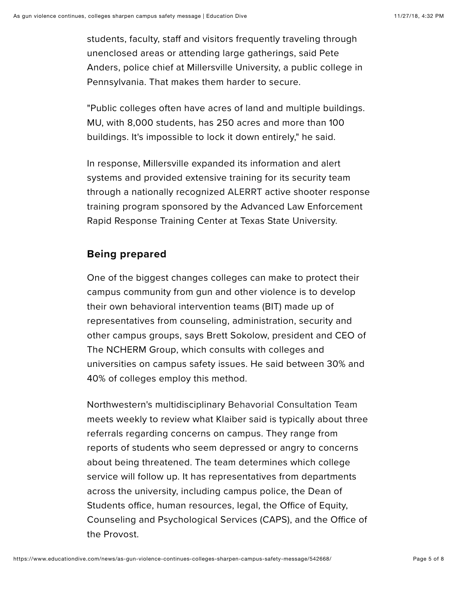students, faculty, staff and visitors frequently traveling through unenclosed areas or attending large gatherings, said Pete Anders, police chief at Millersville University, a public college in Pennsylvania. That makes them harder to secure.

"Public colleges often have acres of land and multiple buildings. MU, with 8,000 students, has 250 acres and more than 100 buildings. It's impossible to lock it down entirely," he said.

In response, Millersville expanded its information and alert systems and provided extensive training for its security team through a nationally recognized [ALERRT](https://alerrt.org/) active shooter response training program sponsored by the Advanced Law Enforcement Rapid Response Training Center at Texas State University.

### **Being prepared**

One of the biggest changes colleges can make to protect their campus community from gun and other violence is to develop their own behavioral intervention teams (BIT) made up of representatives from counseling, administration, security and other campus groups, says Brett Sokolow, president and CEO of The NCHERM Group, which consults with colleges and universities on campus safety issues. He said between 30% and 40% of colleges employ this method.

Northwestern's multidisciplinary [Behavorial Consultation Team](https://www.northwestern.edu/up/your-safety/behavioral-consultation-team.html) meets weekly to review what Klaiber said is typically about three referrals regarding concerns on campus. They range from reports of students who seem depressed or angry to concerns about being threatened. The team determines which college service will follow up. It has representatives from departments across the university, including campus police, the Dean of Students office, human resources, legal, the Office of Equity, Counseling and Psychological Services (CAPS), and the Office of the Provost.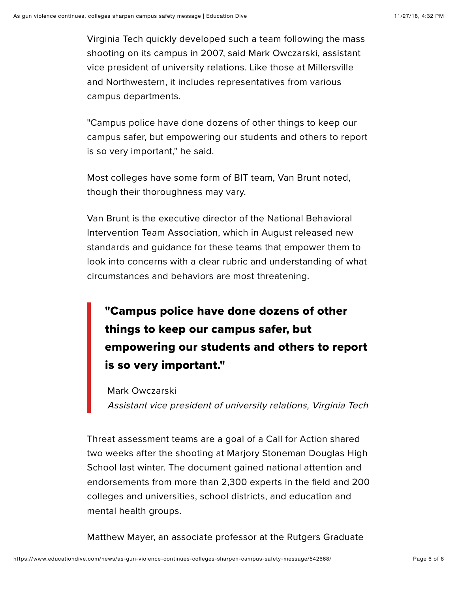Virginia Tech quickly developed such a team following the mass shooting on its campus in 2007, said Mark Owczarski, assistant vice president of university relations. Like those at Millersville and Northwestern, it includes representatives from various campus departments.

"Campus police have done dozens of other things to keep our campus safer, but empowering our students and others to report is so very important," he said.

Most colleges have some form of BIT team, Van Brunt noted, though their thoroughness may vary.

Van Brunt is the executive director of the National Behavioral Intervention Team Association, which in August released new [standards and guidance for these teams that empower them t](https://nabita.org/wordpress/wp-content/uploads/2018/08/NaBITA-Standards-FINAL-2.pdf)o look into concerns with a clear rubric and understanding of what [circumstances and behaviors are most threatening.](https://www.fbi.gov/file-repository/pre-attack-behaviors-of-active-shooters-in-us-2000-2013.pdf/view)

## "Campus police have done dozens of other things to keep our campus safer, but empowering our students and others to report is so very important."

Mark Owczarski Assistant vice president of university relations, Virginia Tech

Threat assessment teams are a goal of a [Call for Action](https://curry.virginia.edu/prevent-gun-violence) shared two weeks after the shooting at Marjory Stoneman Douglas High School last winter. The document gained national attention and [endorsements](https://www.npr.org/sections/ed/2018/03/07/590877717/experts-say-here-s-how-to-prevent-the-next-school-shooting) from more than 2,300 experts in the field and 200 colleges and universities, school districts, and education and mental health groups.

Matthew Mayer, an associate professor at the Rutgers Graduate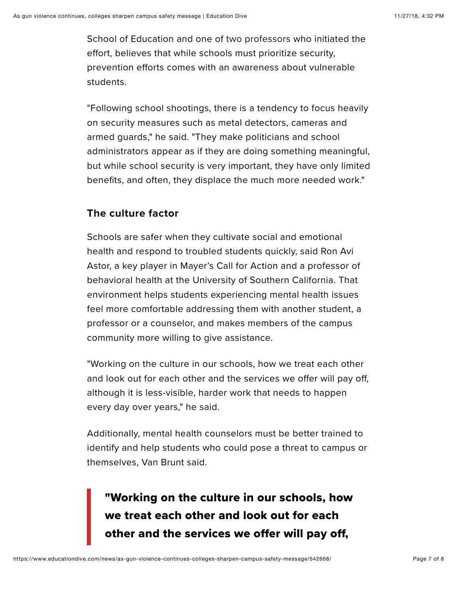School of Education and one of [two professors](https://www.educationdive.com/news/thousands-of-educators-join-national-effort-on-gun-violence/523418/) who initiated the efort, believes that while schools must prioritize security, prevention eforts comes with an awareness about vulnerable students.

"Following school shootings, there is a tendency to focus heavily on security measures such as metal detectors, cameras and armed guards," he said. "They make politicians and school administrators appear as if they are doing something meaningful, but while school security is very important, they have only limited benefits, and often, they displace the much more needed work."

### **The culture factor**

Schools are safer when they cultivate social and emotional health and respond to troubled students quickly, said Ron Avi Astor, a key player in Mayer's Call for Action and a professor of behavioral health at the University of Southern California. That environment helps students experiencing mental health issues feel more comfortable addressing them with another student, a professor or a counselor, and makes members of the campus community more willing to give assistance.

"Working on the culture in our schools, how we treat each other and look out for each other and the services we offer will pay off, although it is less-visible, harder work that needs to happen every day over years," he said.

Additionally, mental health counselors must be better trained to identify and help students who could pose a threat to campus or themselves, Van Brunt said.

## "Working on the culture in our schools, how we treat each other and look out for each other and the services we offer will pay off,